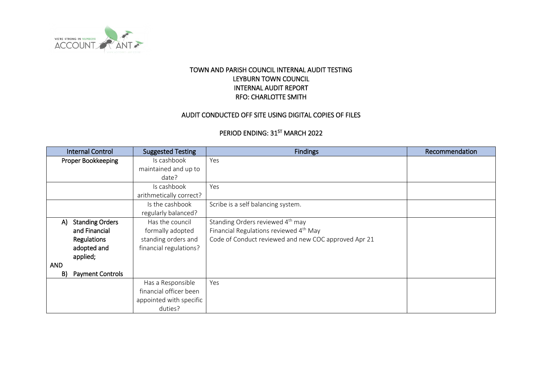

## TOWN AND PARISH COUNCIL INTERNAL AUDIT TESTING LEYBURN TOWN COUNCIL INTERNAL AUDIT REPORT RFO: CHARLOTTE SMITH

## AUDIT CONDUCTED OFF SITE USING DIGITAL COPIES OF FILES

## PERIOD ENDING: 31<sup>st</sup> MARCH 2022

|            | <b>Internal Control</b> | <b>Suggested Testing</b> | <b>Findings</b>                                      | Recommendation |
|------------|-------------------------|--------------------------|------------------------------------------------------|----------------|
|            | Proper Bookkeeping      | Is cashbook              | Yes                                                  |                |
|            |                         | maintained and up to     |                                                      |                |
|            |                         | date?                    |                                                      |                |
|            |                         | Is cashbook              | Yes                                                  |                |
|            |                         | arithmetically correct?  |                                                      |                |
|            |                         | Is the cashbook          | Scribe is a self balancing system.                   |                |
|            |                         | regularly balanced?      |                                                      |                |
| A)         | <b>Standing Orders</b>  | Has the council          | Standing Orders reviewed 4 <sup>th</sup> may         |                |
|            | and Financial           | formally adopted         | Financial Regulations reviewed 4 <sup>th</sup> May   |                |
|            | <b>Regulations</b>      | standing orders and      | Code of Conduct reviewed and new COC approved Apr 21 |                |
|            | adopted and             | financial regulations?   |                                                      |                |
|            | applied;                |                          |                                                      |                |
| <b>AND</b> |                         |                          |                                                      |                |
| B)         | <b>Payment Controls</b> |                          |                                                      |                |
|            |                         | Has a Responsible        | Yes                                                  |                |
|            |                         | financial officer been   |                                                      |                |
|            |                         | appointed with specific  |                                                      |                |
|            |                         | duties?                  |                                                      |                |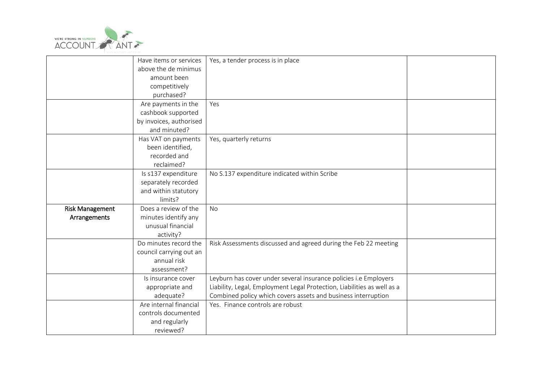

|                        | Have items or services  | Yes, a tender process is in place                                       |  |
|------------------------|-------------------------|-------------------------------------------------------------------------|--|
|                        | above the de minimus    |                                                                         |  |
|                        | amount been             |                                                                         |  |
|                        | competitively           |                                                                         |  |
|                        | purchased?              |                                                                         |  |
|                        | Are payments in the     | Yes                                                                     |  |
|                        | cashbook supported      |                                                                         |  |
|                        | by invoices, authorised |                                                                         |  |
|                        | and minuted?            |                                                                         |  |
|                        | Has VAT on payments     | Yes, quarterly returns                                                  |  |
|                        | been identified,        |                                                                         |  |
|                        | recorded and            |                                                                         |  |
|                        | reclaimed?              |                                                                         |  |
|                        | Is s137 expenditure     | No S.137 expenditure indicated within Scribe                            |  |
|                        | separately recorded     |                                                                         |  |
|                        | and within statutory    |                                                                         |  |
|                        | limits?                 |                                                                         |  |
| <b>Risk Management</b> | Does a review of the    | No                                                                      |  |
| Arrangements           | minutes identify any    |                                                                         |  |
|                        | unusual financial       |                                                                         |  |
|                        | activity?               |                                                                         |  |
|                        | Do minutes record the   | Risk Assessments discussed and agreed during the Feb 22 meeting         |  |
|                        | council carrying out an |                                                                         |  |
|                        | annual risk             |                                                                         |  |
|                        | assessment?             |                                                                         |  |
|                        | Is insurance cover      | Leyburn has cover under several insurance policies i.e Employers        |  |
|                        | appropriate and         | Liability, Legal, Employment Legal Protection, Liabilities as well as a |  |
|                        | adequate?               | Combined policy which covers assets and business interruption           |  |
|                        | Are internal financial  | Yes. Finance controls are robust                                        |  |
|                        | controls documented     |                                                                         |  |
|                        | and regularly           |                                                                         |  |
|                        | reviewed?               |                                                                         |  |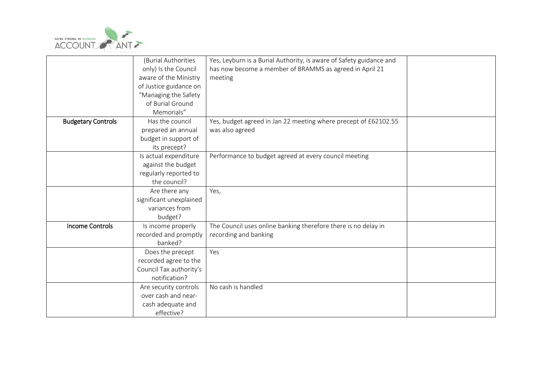

|                           | (Burial Authorities<br>only) Is the Council<br>aware of the Ministry                  | Yes, Leyburn is a Burial Authority, is aware of Safety guidance and<br>has now become a member of BRAMMS as agreed in April 21<br>meeting |  |
|---------------------------|---------------------------------------------------------------------------------------|-------------------------------------------------------------------------------------------------------------------------------------------|--|
|                           | of Justice guidance on<br>"Managing the Safety<br>of Burial Ground<br>Memorials"      |                                                                                                                                           |  |
| <b>Budgetary Controls</b> | Has the council<br>prepared an annual<br>budget in support of<br>its precept?         | Yes, budget agreed in Jan 22 meeting where precept of £62102.55<br>was also agreed                                                        |  |
|                           | Is actual expenditure<br>against the budget<br>regularly reported to<br>the council?  | Performance to budget agreed at every council meeting                                                                                     |  |
|                           | Are there any<br>significant unexplained<br>variances from<br>budget?                 | Yes,                                                                                                                                      |  |
| <b>Income Controls</b>    | Is income properly<br>recorded and promptly<br>banked?                                | The Council uses online banking therefore there is no delay in<br>recording and banking                                                   |  |
|                           | Does the precept<br>recorded agree to the<br>Council Tax authority's<br>notification? | Yes                                                                                                                                       |  |
|                           | Are security controls<br>over cash and near-<br>cash adequate and<br>effective?       | No cash is handled                                                                                                                        |  |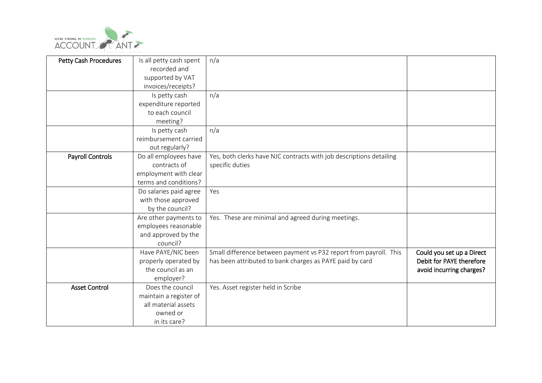

| <b>Petty Cash Procedures</b> | Is all petty cash spent | n/a                                                                 |                           |
|------------------------------|-------------------------|---------------------------------------------------------------------|---------------------------|
|                              | recorded and            |                                                                     |                           |
|                              | supported by VAT        |                                                                     |                           |
|                              | invoices/receipts?      |                                                                     |                           |
|                              | Is petty cash           | n/a                                                                 |                           |
|                              | expenditure reported    |                                                                     |                           |
|                              | to each council         |                                                                     |                           |
|                              | meeting?                |                                                                     |                           |
|                              | Is petty cash           | n/a                                                                 |                           |
|                              | reimbursement carried   |                                                                     |                           |
|                              | out regularly?          |                                                                     |                           |
| <b>Payroll Controls</b>      | Do all employees have   | Yes, both clerks have NJC contracts with job descriptions detailing |                           |
|                              | contracts of            | specific duties                                                     |                           |
|                              | employment with clear   |                                                                     |                           |
|                              | terms and conditions?   |                                                                     |                           |
|                              | Do salaries paid agree  | Yes                                                                 |                           |
|                              | with those approved     |                                                                     |                           |
|                              | by the council?         |                                                                     |                           |
|                              | Are other payments to   | Yes. These are minimal and agreed during meetings.                  |                           |
|                              | employees reasonable    |                                                                     |                           |
|                              | and approved by the     |                                                                     |                           |
|                              | council?                |                                                                     |                           |
|                              | Have PAYE/NIC been      | Small difference between payment vs P32 report from payroll. This   | Could you set up a Direct |
|                              | properly operated by    | has been attributed to bank charges as PAYE paid by card            | Debit for PAYE therefore  |
|                              | the council as an       |                                                                     | avoid incurring charges?  |
|                              | employer?               |                                                                     |                           |
| <b>Asset Control</b>         | Does the council        | Yes. Asset register held in Scribe                                  |                           |
|                              | maintain a register of  |                                                                     |                           |
|                              | all material assets     |                                                                     |                           |
|                              | owned or                |                                                                     |                           |
|                              | in its care?            |                                                                     |                           |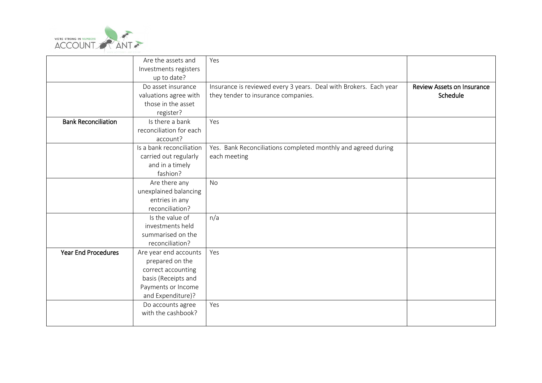

|                            | Are the assets and       | Yes                                                               |                                   |
|----------------------------|--------------------------|-------------------------------------------------------------------|-----------------------------------|
|                            | Investments registers    |                                                                   |                                   |
|                            | up to date?              |                                                                   |                                   |
|                            | Do asset insurance       | Insurance is reviewed every 3 years. Deal with Brokers. Each year | <b>Review Assets on Insurance</b> |
|                            | valuations agree with    | they tender to insurance companies.                               | Schedule                          |
|                            | those in the asset       |                                                                   |                                   |
|                            | register?                |                                                                   |                                   |
| <b>Bank Reconciliation</b> | Is there a bank          | Yes                                                               |                                   |
|                            | reconciliation for each  |                                                                   |                                   |
|                            | account?                 |                                                                   |                                   |
|                            | Is a bank reconciliation | Yes. Bank Reconciliations completed monthly and agreed during     |                                   |
|                            | carried out regularly    | each meeting                                                      |                                   |
|                            | and in a timely          |                                                                   |                                   |
|                            | fashion?                 |                                                                   |                                   |
|                            | Are there any            | No                                                                |                                   |
|                            | unexplained balancing    |                                                                   |                                   |
|                            | entries in any           |                                                                   |                                   |
|                            | reconciliation?          |                                                                   |                                   |
|                            | Is the value of          | n/a                                                               |                                   |
|                            | investments held         |                                                                   |                                   |
|                            | summarised on the        |                                                                   |                                   |
|                            | reconciliation?          |                                                                   |                                   |
| <b>Year End Procedures</b> | Are year end accounts    | Yes                                                               |                                   |
|                            | prepared on the          |                                                                   |                                   |
|                            | correct accounting       |                                                                   |                                   |
|                            | basis (Receipts and      |                                                                   |                                   |
|                            | Payments or Income       |                                                                   |                                   |
|                            | and Expenditure)?        |                                                                   |                                   |
|                            | Do accounts agree        | Yes                                                               |                                   |
|                            | with the cashbook?       |                                                                   |                                   |
|                            |                          |                                                                   |                                   |